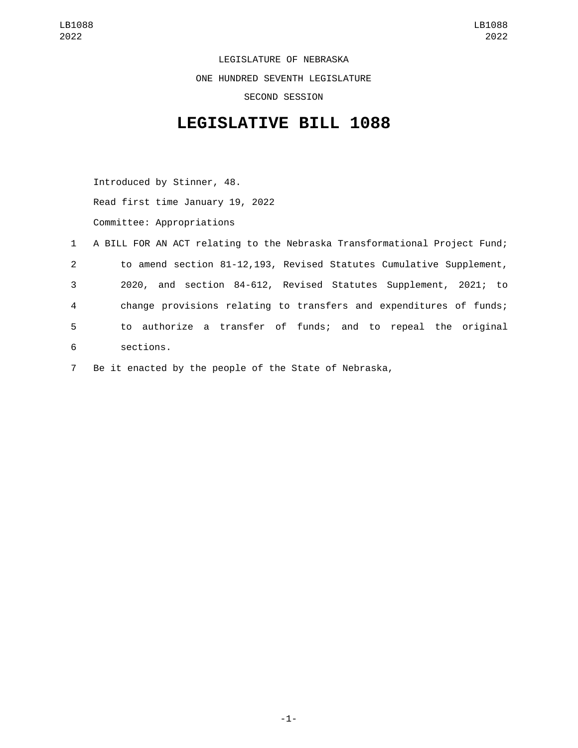LEGISLATURE OF NEBRASKA ONE HUNDRED SEVENTH LEGISLATURE SECOND SESSION

## **LEGISLATIVE BILL 1088**

Introduced by Stinner, 48. Read first time January 19, 2022 Committee: Appropriations

|                | 1 A BILL FOR AN ACT relating to the Nebraska Transformational Project Fund; |
|----------------|-----------------------------------------------------------------------------|
| $2^{\circ}$    | to amend section 81-12,193, Revised Statutes Cumulative Supplement,         |
| 3              | 2020, and section 84-612, Revised Statutes Supplement, 2021; to             |
| $\overline{4}$ | change provisions relating to transfers and expenditures of funds;          |
| 5              | to authorize a transfer of funds; and to repeal the original                |
| 6              | sections.                                                                   |
|                |                                                                             |

7 Be it enacted by the people of the State of Nebraska,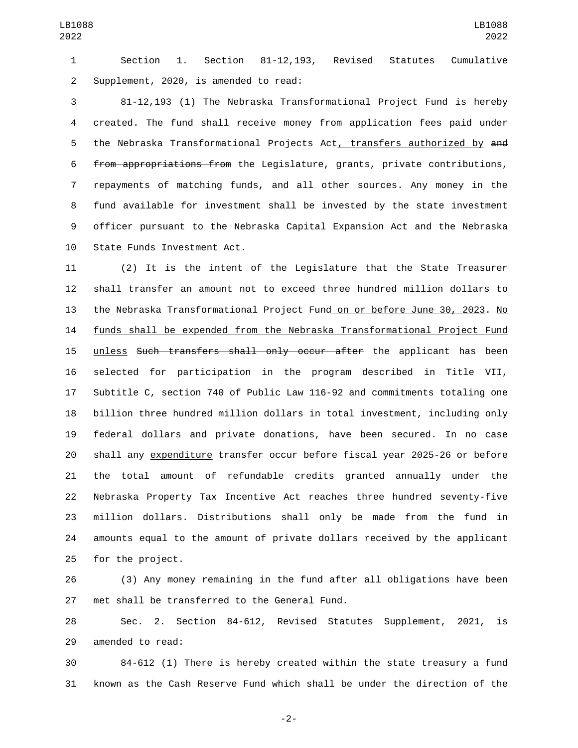Section 1. Section 81-12,193, Revised Statutes Cumulative 2 Supplement, 2020, is amended to read:

 81-12,193 (1) The Nebraska Transformational Project Fund is hereby created. The fund shall receive money from application fees paid under 5 the Nebraska Transformational Projects Act, transfers authorized by and from appropriations from the Legislature, grants, private contributions, repayments of matching funds, and all other sources. Any money in the fund available for investment shall be invested by the state investment officer pursuant to the Nebraska Capital Expansion Act and the Nebraska 10 State Funds Investment Act.

 (2) It is the intent of the Legislature that the State Treasurer shall transfer an amount not to exceed three hundred million dollars to the Nebraska Transformational Project Fund on or before June 30, 2023. No funds shall be expended from the Nebraska Transformational Project Fund 15 unless Such transfers shall only occur after the applicant has been selected for participation in the program described in Title VII, Subtitle C, section 740 of Public Law 116-92 and commitments totaling one billion three hundred million dollars in total investment, including only federal dollars and private donations, have been secured. In no case 20 shall any expenditure transfer occur before fiscal year 2025-26 or before the total amount of refundable credits granted annually under the Nebraska Property Tax Incentive Act reaches three hundred seventy-five million dollars. Distributions shall only be made from the fund in amounts equal to the amount of private dollars received by the applicant 25 for the project.

 (3) Any money remaining in the fund after all obligations have been 27 met shall be transferred to the General Fund.

 Sec. 2. Section 84-612, Revised Statutes Supplement, 2021, is 29 amended to read:

 84-612 (1) There is hereby created within the state treasury a fund known as the Cash Reserve Fund which shall be under the direction of the

-2-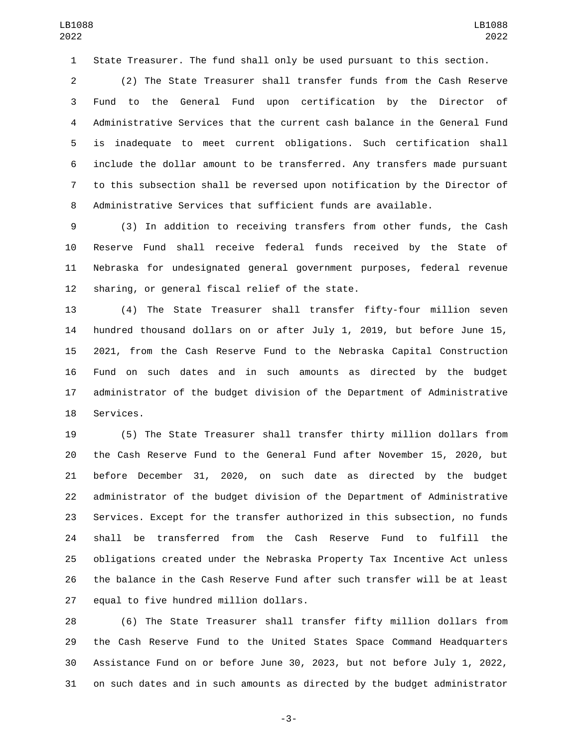State Treasurer. The fund shall only be used pursuant to this section.

 (2) The State Treasurer shall transfer funds from the Cash Reserve Fund to the General Fund upon certification by the Director of Administrative Services that the current cash balance in the General Fund is inadequate to meet current obligations. Such certification shall include the dollar amount to be transferred. Any transfers made pursuant to this subsection shall be reversed upon notification by the Director of Administrative Services that sufficient funds are available.

 (3) In addition to receiving transfers from other funds, the Cash Reserve Fund shall receive federal funds received by the State of Nebraska for undesignated general government purposes, federal revenue 12 sharing, or general fiscal relief of the state.

 (4) The State Treasurer shall transfer fifty-four million seven hundred thousand dollars on or after July 1, 2019, but before June 15, 2021, from the Cash Reserve Fund to the Nebraska Capital Construction Fund on such dates and in such amounts as directed by the budget administrator of the budget division of the Department of Administrative 18 Services.

 (5) The State Treasurer shall transfer thirty million dollars from the Cash Reserve Fund to the General Fund after November 15, 2020, but before December 31, 2020, on such date as directed by the budget administrator of the budget division of the Department of Administrative Services. Except for the transfer authorized in this subsection, no funds shall be transferred from the Cash Reserve Fund to fulfill the obligations created under the Nebraska Property Tax Incentive Act unless the balance in the Cash Reserve Fund after such transfer will be at least 27 equal to five hundred million dollars.

 (6) The State Treasurer shall transfer fifty million dollars from the Cash Reserve Fund to the United States Space Command Headquarters Assistance Fund on or before June 30, 2023, but not before July 1, 2022, on such dates and in such amounts as directed by the budget administrator

-3-